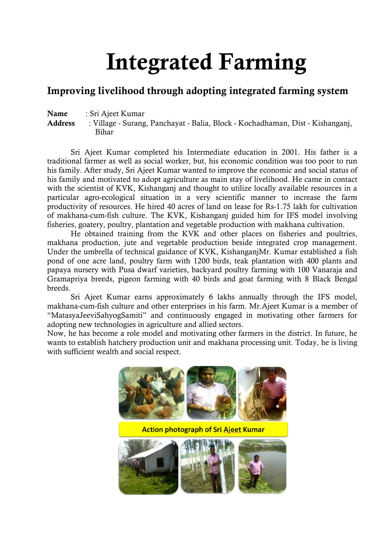# **Integrated Farming**

# **Improving livelihood through adopting integrated farming system**

**Name** : Sri Ajeet Kumar

**Address** : Village - Surang, Panchayat - Balia, Block - Kochadhaman, Dist - Kishanganj, Bihar

Sri Ajeet Kumar completed his Intermediate education in 2001. His father is a traditional farmer as well as social worker, but, his economic condition was too poor to run his family. After study, Sri Ajeet Kumar wanted to improve the economic and social status of his family and motivated to adopt agriculture as main stay of livelihood. He came in contact with the scientist of KVK, Kishanganj and thought to utilize locally available resources in a particular agro-ecological situation in a very scientific manner to increase the farm productivity of resources. He hired 40 acres of land on lease for Rs-1.75 lakh for cultivation of makhana-cum-fish culture. The KVK, Kishanganj guided him for IFS model involving fisheries, goatery, poultry, plantation and vegetable production with makhana cultivation.

He obtained training from the KVK and other places on fisheries and poultries, makhana production, jute and vegetable production beside integrated crop management. Under the umbrella of technical guidance of KVK, KishanganjMr. Kumar established a fish pond of one acre land, poultry farm with 1200 birds, teak plantation with 400 plants and papaya nursery with Pusa dwarf varieties, backyard poultry farming with 100 Vanaraja and Gramapriya breeds, pigeon farming with 40 birds and goat farming with 8 Black Bengal breeds.

Sri Ajeet Kumar earns approximately 6 lakhs annually through the IFS model, makhana-cum-fish culture and other enterprises in his farm. Mr.Ajeet Kumar is a member of "MatasyaJeeviSahyogSamiti" and continuously engaged in motivating other farmers for adopting new technologies in agriculture and allied sectors.

Now, he has become a role model and motivating other farmers in the district. In future, he wants to establish hatchery production unit and makhana processing unit. Today, he is living with sufficient wealth and social respect.

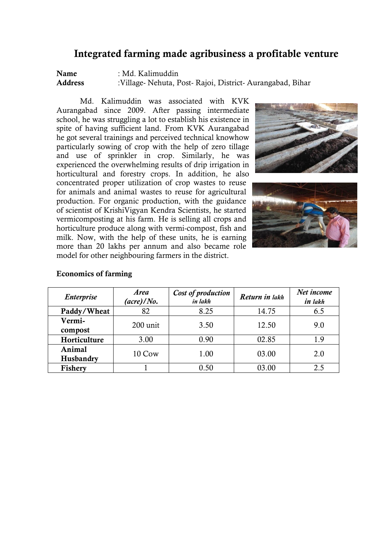# **Integrated farming made agribusiness a profitable venture**

**Name** : Md. Kalimuddin<br> **Address** : Village-Nehuta. P **Address** :Village- Nehuta, Post- Rajoi, District- Aurangabad, Bihar

Md. Kalimuddin was associated with KVK Aurangabad since 2009. After passing intermediate school, he was struggling a lot to establish his existence in spite of having sufficient land. From KVK Aurangabad he got several trainings and perceived technical knowhow particularly sowing of crop with the help of zero tillage and use of sprinkler in crop. Similarly, he was experienced the overwhelming results of drip irrigation in horticultural and forestry crops. In addition, he also concentrated proper utilization of crop wastes to reuse for animals and animal wastes to reuse for agricultural production. For organic production, with the guidance of scientist of KrishiVigyan Kendra Scientists, he started vermicomposting at his farm. He is selling all crops and horticulture produce along with vermi-compost, fish and milk. Now, with the help of these units, he is earning more than 20 lakhs per annum and also became role model for other neighbouring farmers in the district.





| <b>Enterprise</b>   | <b>Area</b><br>$(\textit{acre})/No.$ | Cost of production<br>in lakh | Return in lakh | Net income<br>in lakh |
|---------------------|--------------------------------------|-------------------------------|----------------|-----------------------|
| Paddy/Wheat         | 82                                   | 8.25                          | 14.75          | 6.5                   |
| Vermi-<br>compost   | 200 unit                             | 3.50                          | 12.50          | 9.0                   |
| Horticulture        | 3.00                                 | 0.90                          | 02.85          | 1.9                   |
| Animal<br>Husbandry | 10 Cow                               | 1.00                          | 03.00          | 2.0                   |
| <b>Fishery</b>      |                                      | 0.50                          | 03.00          | 2.5                   |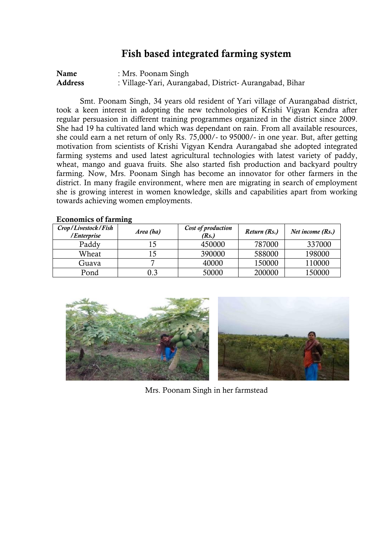# **Fish based integrated farming system**

| Name           | : Mrs. Poonam Singh                                    |
|----------------|--------------------------------------------------------|
| <b>Address</b> | : Village-Yari, Aurangabad, District-Aurangabad, Bihar |

Smt. Poonam Singh, 34 years old resident of Yari village of Aurangabad district, took a keen interest in adopting the new technologies of Krishi Vigyan Kendra after regular persuasion in different training programmes organized in the district since 2009. She had 19 ha cultivated land which was dependant on rain. From all available resources, she could earn a net return of only Rs. 75,000/- to 95000/- in one year. But, after getting motivation from scientists of Krishi Vigyan Kendra Aurangabad she adopted integrated farming systems and used latest agricultural technologies with latest variety of paddy, wheat, mango and guava fruits. She also started fish production and backyard poultry farming. Now, Mrs. Poonam Singh has become an innovator for other farmers in the district. In many fragile environment, where men are migrating in search of employment she is growing interest in women knowledge, skills and capabilities apart from working towards achieving women employments.

| Crop/Livestock/Fish<br>/Enterprise | Area (ha) | Cost of production<br>(Rs.) | Return (Rs.) | Net income (Rs.) |
|------------------------------------|-----------|-----------------------------|--------------|------------------|
| Paddy                              |           | 450000                      | 787000       | 337000           |
| Wheat                              | 15        | 390000                      | 588000       | 198000           |
| Guava                              |           | 40000                       | 150000       | 110000           |
| Pond                               | 0.3       | 50000                       | 200000       | 150000           |



Mrs. Poonam Singh in her farmstead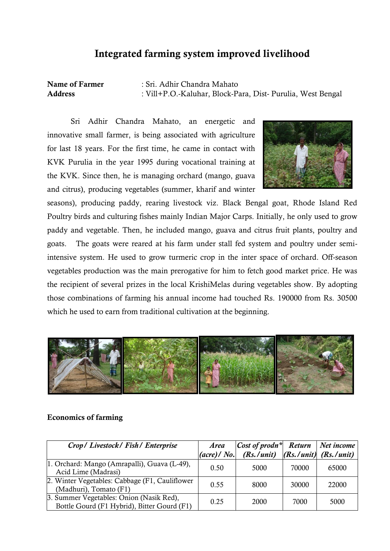# **Integrated farming system improved livelihood**

**Name of Farmer** : Sri. Adhir Chandra Mahato **Address** : Vill+P.O.-Kaluhar, Block-Para, Dist- Purulia, West Bengal

Sri Adhir Chandra Mahato, an energetic and innovative small farmer, is being associated with agriculture for last 18 years. For the first time, he came in contact with KVK Purulia in the year 1995 during vocational training at the KVK. Since then, he is managing orchard (mango, guava and citrus), producing vegetables (summer, kharif and winter



seasons), producing paddy, rearing livestock viz. Black Bengal goat, Rhode Island Red Poultry birds and culturing fishes mainly Indian Major Carps. Initially, he only used to grow paddy and vegetable. Then, he included mango, guava and citrus fruit plants, poultry and goats. The goats were reared at his farm under stall fed system and poultry under semiintensive system. He used to grow turmeric crop in the inter space of orchard. Off-season vegetables production was the main prerogative for him to fetch good market price. He was the recipient of several prizes in the local KrishiMelas during vegetables show. By adopting those combinations of farming his annual income had touched Rs. 190000 from Rs. 30500 which he used to earn from traditional cultivation at the beginning.



| Crop/Livestock/Fish/Enterprise                                                          | <b>Area</b><br>$(\textit{acre}) / \textit{No.}$ | $ Cost\ of\ prodn^* $ Return   Net income<br>$(Rs. / unit)$ $(Rs. / unit)$ $(Rs. / unit)$ |       |       |
|-----------------------------------------------------------------------------------------|-------------------------------------------------|-------------------------------------------------------------------------------------------|-------|-------|
| 1. Orchard: Mango (Amrapalli), Guava (L-49),<br>Acid Lime (Madrasi)                     | 0.50                                            | 5000                                                                                      | 70000 | 65000 |
| 2. Winter Vegetables: Cabbage (F1, Cauliflower)<br>(Madhuri), Tomato (F1)               | 0.55                                            | 8000                                                                                      | 30000 | 22000 |
| 3. Summer Vegetables: Onion (Nasik Red),<br>Bottle Gourd (F1 Hybrid), Bitter Gourd (F1) | 0.25                                            | 2000                                                                                      | 7000  | 5000  |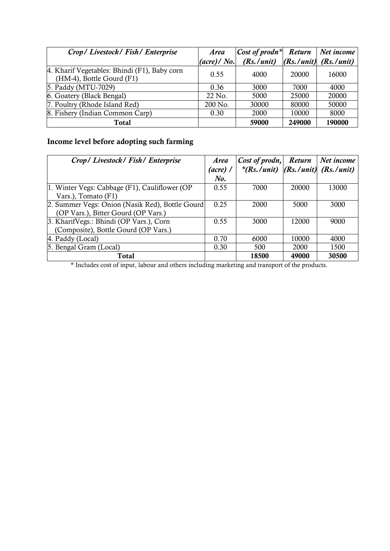| Crop/Livestock/Fish/Enterprise                                            | <b>Area</b>                      | $Cost of prod^*$ | <b>Return</b> | $Net$ income                  |
|---------------------------------------------------------------------------|----------------------------------|------------------|---------------|-------------------------------|
|                                                                           | $(\textit{acre}) / \textit{No.}$ | (Rs. / unit)     |               | $(Rs. / unit)$ $(Rs. / unit)$ |
| 4. Kharif Vegetables: Bhindi (F1), Baby corn<br>(HM-4), Bottle Gourd (F1) | 0.55                             | 4000             | 20000         | 16000                         |
| 5. Paddy (MTU-7029)                                                       | 0.36                             | 3000             | 7000          | 4000                          |
| 6. Goatery (Black Bengal)                                                 | 22 No.                           | 5000             | 25000         | 20000                         |
| 7. Poultry (Rhode Island Red)                                             | 200 No.                          | 30000            | 80000         | 50000                         |
| 8. Fishery (Indian Common Carp)                                           | 0.30                             | 2000             | 10000         | 8000                          |
| Total                                                                     |                                  | 59000            | 249000        | 190000                        |

# **Income level before adopting such farming**

| Crop/Livestock/Fish/Enterprise                  | <b>Area</b> | Cost of prodn, Return                   |       | Net income |
|-------------------------------------------------|-------------|-----------------------------------------|-------|------------|
|                                                 | (acre) /    | $*(Rs./unit)$ $(Rs./unit)$ $(Rs./unit)$ |       |            |
|                                                 | $N0$ .      |                                         |       |            |
| 1. Winter Vegs: Cabbage (F1), Cauliflower (OP   | 0.55        | 7000                                    | 20000 | 13000      |
| Vars.), Tomato (F1)                             |             |                                         |       |            |
| 2. Summer Vegs: Onion (Nasik Red), Bottle Gourd | 0.25        | 2000                                    | 5000  | 3000       |
| (OP Vars.), Bitter Gourd (OP Vars.)             |             |                                         |       |            |
| 3. KharifVegs.: Bhindi (OP Vars.), Corn         | 0.55        | 3000                                    | 12000 | 9000       |
| (Composite), Bottle Gourd (OP Vars.)            |             |                                         |       |            |
| 4. Paddy (Local)                                | 0.70        | 6000                                    | 10000 | 4000       |
| 5. Bengal Gram (Local)                          | 0.30        | 500                                     | 2000  | 1500       |
| Total                                           |             | 18500                                   | 49000 | 30500      |

\* Includes cost of input, labour and others including marketing and transport of the products.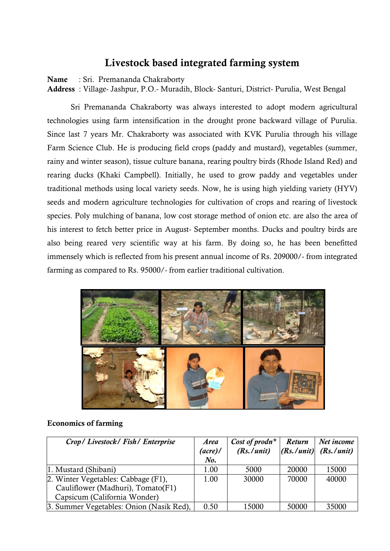# **Livestock based integrated farming system**

**Name** : Sri. Premananda Chakraborty

**Address** : Village- Jashpur, P.O.- Muradih, Block- Santuri, District- Purulia, West Bengal

Sri Premananda Chakraborty was always interested to adopt modern agricultural technologies using farm intensification in the drought prone backward village of Purulia. Since last 7 years Mr. Chakraborty was associated with KVK Purulia through his village Farm Science Club. He is producing field crops (paddy and mustard), vegetables (summer, rainy and winter season), tissue culture banana, rearing poultry birds (Rhode Island Red) and rearing ducks (Khaki Campbell). Initially, he used to grow paddy and vegetables under traditional methods using local variety seeds. Now, he is using high yielding variety (HYV) seeds and modern agriculture technologies for cultivation of crops and rearing of livestock species. Poly mulching of banana, low cost storage method of onion etc. are also the area of his interest to fetch better price in August- September months. Ducks and poultry birds are also being reared very scientific way at his farm. By doing so, he has been benefitted immensely which is reflected from his present annual income of Rs. 209000/- from integrated farming as compared to Rs. 95000/- from earlier traditional cultivation.



| Crop/Livestock/Fish/Enterprise           | <b>Area</b><br>$(\textit{acre})$ /<br>$N0$ . | Cost of prodn <sup>*</sup><br>(Rs. / unit) | <b>Return</b> | Net income<br>$ R_s / unit $ (Rs./unit) |
|------------------------------------------|----------------------------------------------|--------------------------------------------|---------------|-----------------------------------------|
| 1. Mustard (Shibani)                     | 1.00                                         | 5000                                       | 20000         | 15000                                   |
| 2. Winter Vegetables: Cabbage (F1),      | 1.00                                         | 30000                                      | 70000         | 40000                                   |
| Cauliflower (Madhuri), Tomato(F1)        |                                              |                                            |               |                                         |
| Capsicum (California Wonder)             |                                              |                                            |               |                                         |
| 3. Summer Vegetables: Onion (Nasik Red), | 0.50                                         | 15000                                      | 50000         | 35000                                   |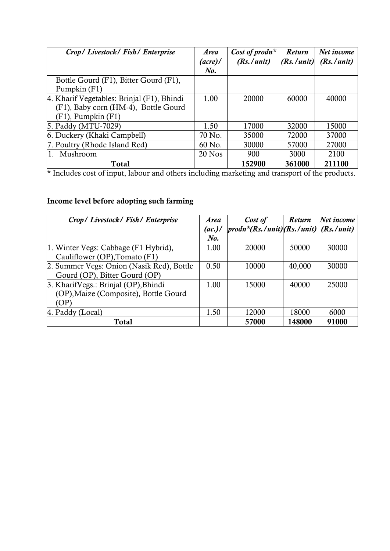| Crop/Livestock/Fish/Enterprise             | <b>Area</b><br>$(\textit{acre})$ /<br>No. | Cost of prodn <sup>*</sup><br>(Rs. / unit) | <b>Return</b><br>(Rs. / unit) | Net income<br>(Rs. / unit) |
|--------------------------------------------|-------------------------------------------|--------------------------------------------|-------------------------------|----------------------------|
| Bottle Gourd (F1), Bitter Gourd (F1),      |                                           |                                            |                               |                            |
| Pumpkin (F1)                               |                                           |                                            |                               |                            |
| 4. Kharif Vegetables: Brinjal (F1), Bhindi | 1.00                                      | 20000                                      | 60000                         | 40000                      |
| (F1), Baby corn (HM-4), Bottle Gourd       |                                           |                                            |                               |                            |
| $(F1)$ , Pumpkin $(F1)$                    |                                           |                                            |                               |                            |
| 5. Paddy (MTU-7029)                        | 1.50                                      | 17000                                      | 32000                         | 15000                      |
| 6. Duckery (Khaki Campbell)                | 70 No.                                    | 35000                                      | 72000                         | 37000                      |
| 7. Poultry (Rhode Island Red)              | 60 No.                                    | 30000                                      | 57000                         | 27000                      |
| Mushroom<br>1.                             | $20$ Nos                                  | 900                                        | 3000                          | 2100                       |
| <b>Total</b>                               |                                           | 152900                                     | 361000                        | 211100                     |

\* Includes cost of input, labour and others including marketing and transport of the products.

# **Income level before adopting such farming**

| Crop/Livestock/Fish/Enterprise            | <b>Area</b> | Cost of                                                          | <b>Return</b> | Net income |
|-------------------------------------------|-------------|------------------------------------------------------------------|---------------|------------|
|                                           | (ac.)/      | $\left[ \frac{prod*}{RS}$ ./unit $\right]$ (Rs./unit) (Rs./unit) |               |            |
|                                           | No.         |                                                                  |               |            |
| 1. Winter Vegs: Cabbage (F1 Hybrid),      | 1.00        | 20000                                                            | 50000         | 30000      |
| Cauliflower (OP), Tomato (F1)             |             |                                                                  |               |            |
| 2. Summer Vegs: Onion (Nasik Red), Bottle | 0.50        | 10000                                                            | 40,000        | 30000      |
| Gourd (OP), Bitter Gourd (OP)             |             |                                                                  |               |            |
| 3. KharifVegs.: Brinjal (OP), Bhindi      | 1.00        | 15000                                                            | 40000         | 25000      |
| (OP), Maize (Composite), Bottle Gourd     |             |                                                                  |               |            |
| (OP)                                      |             |                                                                  |               |            |
| 4. Paddy (Local)                          | 1.50        | 12000                                                            | 18000         | 6000       |
| <b>Total</b>                              |             | 57000                                                            | 148000        | 91000      |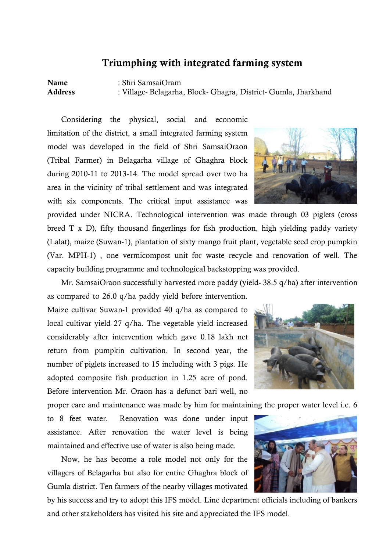## **Triumphing with integrated farming system**

**Name** : Shri SamsaiOram **Address** : Village- Belagarha, Block- Ghagra, District- Gumla, Jharkhand

Considering the physical, social and economic limitation of the district, a small integrated farming system model was developed in the field of Shri SamsaiOraon (Tribal Farmer) in Belagarha village of Ghaghra block during 2010-11 to 2013-14. The model spread over two ha area in the vicinity of tribal settlement and was integrated with six components. The critical input assistance was

provided under NICRA. Technological intervention was made through 03 piglets (cross breed T x D), fifty thousand fingerlings for fish production, high yielding paddy variety (Lalat), maize (Suwan-1), plantation of sixty mango fruit plant, vegetable seed crop pumpkin (Var. MPH-1) , one vermicompost unit for waste recycle and renovation of well. The capacity building programme and technological backstopping was provided.

Mr. SamsaiOraon successfully harvested more paddy (yield- 38.5 q/ha) after intervention as compared to 26.0 q/ha paddy yield before intervention.

Maize cultivar Suwan-1 provided 40 q/ha as compared to local cultivar yield 27 q/ha. The vegetable yield increased considerably after intervention which gave 0.18 lakh net return from pumpkin cultivation. In second year, the number of piglets increased to 15 including with 3 pigs. He adopted composite fish production in 1.25 acre of pond. Before intervention Mr. Oraon has a defunct bari well, no

proper care and maintenance was made by him for maintaining the proper water level i.e. 6

to 8 feet water. Renovation was done under input assistance. After renovation the water level is being maintained and effective use of water is also being made.

Now, he has become a role model not only for the villagers of Belagarha but also for entire Ghaghra block of Gumla district. Ten farmers of the nearby villages motivated

by his success and try to adopt this IFS model. Line department officials including of bankers and other stakeholders has visited his site and appreciated the IFS model.



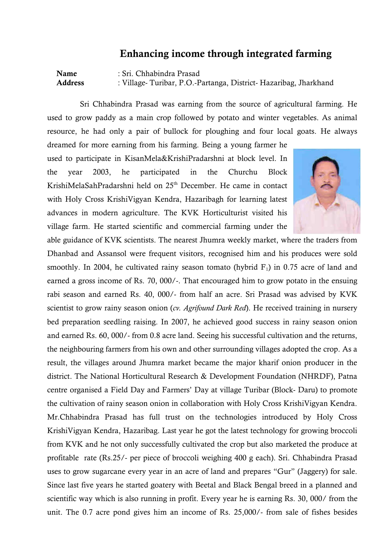## **Enhancing income through integrated farming**

**Name** : Sri. Chhabindra Prasad **Address** : Village- Turibar, P.O.-Partanga, District- Hazaribag, Jharkhand

Sri Chhabindra Prasad was earning from the source of agricultural farming. He used to grow paddy as a main crop followed by potato and winter vegetables. As animal resource, he had only a pair of bullock for ploughing and four local goats. He always

dreamed for more earning from his farming. Being a young farmer he used to participate in KisanMela&KrishiPradarshni at block level. In the year 2003, he participated in the Churchu Block KrishiMelaSahPradarshni held on 25<sup>th</sup> December. He came in contact with Holy Cross KrishiVigyan Kendra, Hazaribagh for learning latest advances in modern agriculture. The KVK Horticulturist visited his village farm. He started scientific and commercial farming under the



able guidance of KVK scientists. The nearest Jhumra weekly market, where the traders from Dhanbad and Assansol were frequent visitors, recognised him and his produces were sold smoothly. In 2004, he cultivated rainy season tomato (hybrid  $F_1$ ) in 0.75 acre of land and earned a gross income of Rs. 70, 000/-. That encouraged him to grow potato in the ensuing rabi season and earned Rs. 40, 000/- from half an acre. Sri Prasad was advised by KVK scientist to grow rainy season onion (*cv. Agrifound Dark Red*). He received training in nursery bed preparation seedling raising. In 2007, he achieved good success in rainy season onion and earned Rs. 60, 000/- from 0.8 acre land. Seeing his successful cultivation and the returns, the neighbouring farmers from his own and other surrounding villages adopted the crop. As a result, the villages around Jhumra market became the major kharif onion producer in the district. The National Horticultural Research & Development Foundation (NHRDF), Patna centre organised a Field Day and Farmers' Day at village Turibar (Block- Daru) to promote the cultivation of rainy season onion in collaboration with Holy Cross KrishiVigyan Kendra. Mr.Chhabindra Prasad has full trust on the technologies introduced by Holy Cross KrishiVigyan Kendra, Hazaribag. Last year he got the latest technology for growing broccoli from KVK and he not only successfully cultivated the crop but also marketed the produce at profitable rate (Rs.25/- per piece of broccoli weighing 400 g each). Sri. Chhabindra Prasad uses to grow sugarcane every year in an acre of land and prepares "Gur" (Jaggery) for sale. Since last five years he started goatery with Beetal and Black Bengal breed in a planned and scientific way which is also running in profit. Every year he is earning Rs. 30, 000/ from the unit. The 0.7 acre pond gives him an income of Rs. 25,000/- from sale of fishes besides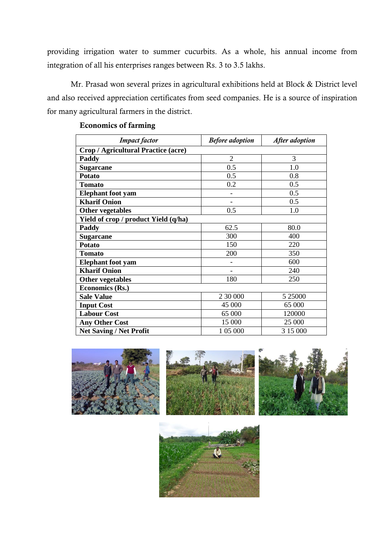providing irrigation water to summer cucurbits. As a whole, his annual income from integration of all his enterprises ranges between Rs. 3 to 3.5 lakhs.

Mr. Prasad won several prizes in agricultural exhibitions held at Block & District level and also received appreciation certificates from seed companies. He is a source of inspiration for many agricultural farmers in the district.

| <b>Impact</b> factor                 | <b>Before</b> adoption<br>After adoption |          |  |  |  |  |  |
|--------------------------------------|------------------------------------------|----------|--|--|--|--|--|
| Crop / Agricultural Practice (acre)  |                                          |          |  |  |  |  |  |
| Paddy                                | $\overline{2}$                           | 3        |  |  |  |  |  |
| <b>Sugarcane</b>                     | 0.5                                      | 1.0      |  |  |  |  |  |
| <b>Potato</b>                        | 0.5                                      | 0.8      |  |  |  |  |  |
| <b>Tomato</b>                        | 0.2                                      | 0.5      |  |  |  |  |  |
| <b>Elephant</b> foot yam             |                                          | 0.5      |  |  |  |  |  |
| <b>Kharif Onion</b>                  |                                          | 0.5      |  |  |  |  |  |
| <b>Other vegetables</b>              | 0.5                                      | 1.0      |  |  |  |  |  |
| Yield of crop / product Yield (q/ha) |                                          |          |  |  |  |  |  |
| Paddy                                | 62.5                                     | 80.0     |  |  |  |  |  |
| <b>Sugarcane</b>                     | 300                                      | 400      |  |  |  |  |  |
| <b>Potato</b>                        | 150                                      | 220      |  |  |  |  |  |
| <b>Tomato</b>                        | 200                                      | 350      |  |  |  |  |  |
| <b>Elephant</b> foot yam             |                                          | 600      |  |  |  |  |  |
| <b>Kharif Onion</b>                  |                                          | 240      |  |  |  |  |  |
| <b>Other vegetables</b>              | 180                                      | 250      |  |  |  |  |  |
| Economics (Rs.)                      |                                          |          |  |  |  |  |  |
| <b>Sale Value</b>                    | 2 30 000                                 | 5 25000  |  |  |  |  |  |
| <b>Input Cost</b>                    | 45 000                                   | 65 000   |  |  |  |  |  |
| <b>Labour Cost</b>                   | 65 000                                   | 120000   |  |  |  |  |  |
| <b>Any Other Cost</b>                | 15 000                                   | 25 000   |  |  |  |  |  |
| <b>Net Saving / Net Profit</b>       | 1 05 000                                 | 3 15 000 |  |  |  |  |  |